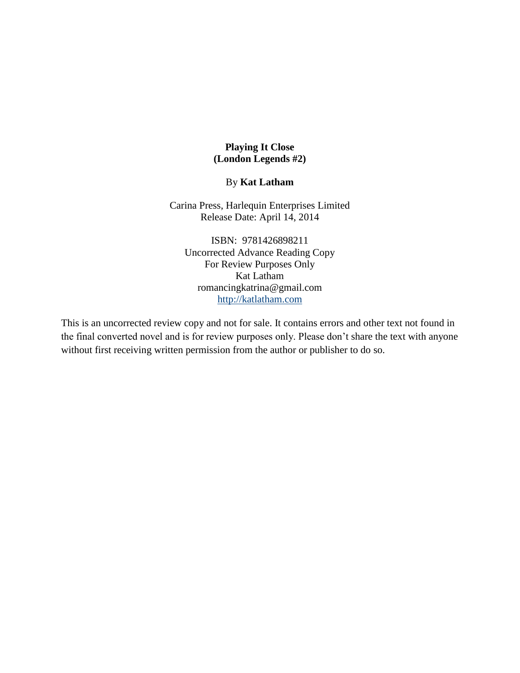## **Playing It Close (London Legends #2)**

## By **Kat Latham**

Carina Press, Harlequin Enterprises Limited Release Date: April 14, 2014

ISBN: 9781426898211 Uncorrected Advance Reading Copy For Review Purposes Only Kat Latham romancingkatrina@gmail.com [http://katlatham.com](http://katlatham.com/)

This is an uncorrected review copy and not for sale. It contains errors and other text not found in the final converted novel and is for review purposes only. Please don't share the text with anyone without first receiving written permission from the author or publisher to do so.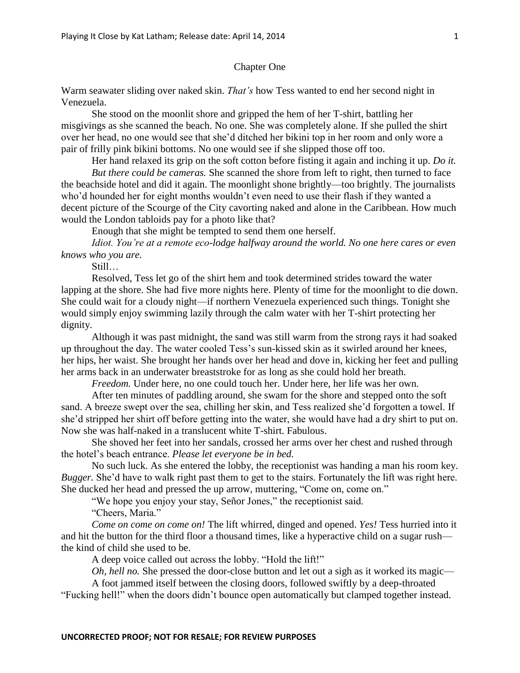## Chapter One

Warm seawater sliding over naked skin. *That's* how Tess wanted to end her second night in Venezuela.

She stood on the moonlit shore and gripped the hem of her T-shirt, battling her misgivings as she scanned the beach. No one. She was completely alone. If she pulled the shirt over her head, no one would see that she'd ditched her bikini top in her room and only wore a pair of frilly pink bikini bottoms. No one would see if she slipped those off too.

Her hand relaxed its grip on the soft cotton before fisting it again and inching it up. *Do it. But there could be cameras.* She scanned the shore from left to right, then turned to face the beachside hotel and did it again. The moonlight shone brightly—too brightly. The journalists who'd hounded her for eight months wouldn't even need to use their flash if they wanted a decent picture of the Scourge of the City cavorting naked and alone in the Caribbean. How much would the London tabloids pay for a photo like that?

Enough that she might be tempted to send them one herself.

*Idiot. You're at a remote eco-lodge halfway around the world. No one here cares or even knows who you are.*

Still…

Resolved, Tess let go of the shirt hem and took determined strides toward the water lapping at the shore. She had five more nights here. Plenty of time for the moonlight to die down. She could wait for a cloudy night—if northern Venezuela experienced such things. Tonight she would simply enjoy swimming lazily through the calm water with her T-shirt protecting her dignity.

Although it was past midnight, the sand was still warm from the strong rays it had soaked up throughout the day. The water cooled Tess's sun-kissed skin as it swirled around her knees, her hips, her waist. She brought her hands over her head and dove in, kicking her feet and pulling her arms back in an underwater breaststroke for as long as she could hold her breath.

*Freedom.* Under here, no one could touch her. Under here, her life was her own.

After ten minutes of paddling around, she swam for the shore and stepped onto the soft sand. A breeze swept over the sea, chilling her skin, and Tess realized she'd forgotten a towel. If she'd stripped her shirt off before getting into the water, she would have had a dry shirt to put on. Now she was half-naked in a translucent white T-shirt. Fabulous.

She shoved her feet into her sandals, crossed her arms over her chest and rushed through the hotel's beach entrance. *Please let everyone be in bed.*

No such luck. As she entered the lobby, the receptionist was handing a man his room key. *Bugger.* She'd have to walk right past them to get to the stairs. Fortunately the lift was right here. She ducked her head and pressed the up arrow, muttering, "Come on, come on."

"We hope you enjoy your stay, Señor Jones," the receptionist said.

"Cheers, Maria."

*Come on come on come on!* The lift whirred, dinged and opened. *Yes!* Tess hurried into it and hit the button for the third floor a thousand times, like a hyperactive child on a sugar rush the kind of child she used to be.

A deep voice called out across the lobby. "Hold the lift!"

*Oh, hell no.* She pressed the door-close button and let out a sigh as it worked its magic—

A foot jammed itself between the closing doors, followed swiftly by a deep-throated "Fucking hell!" when the doors didn't bounce open automatically but clamped together instead.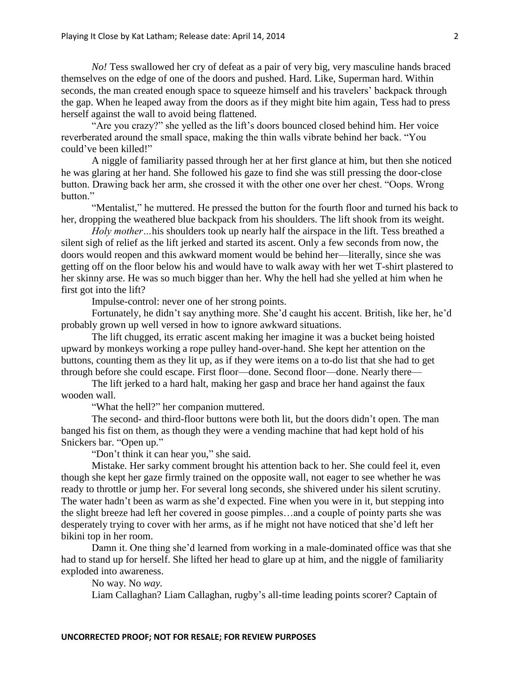*No!* Tess swallowed her cry of defeat as a pair of very big, very masculine hands braced themselves on the edge of one of the doors and pushed. Hard. Like, Superman hard. Within seconds, the man created enough space to squeeze himself and his travelers' backpack through the gap. When he leaped away from the doors as if they might bite him again, Tess had to press herself against the wall to avoid being flattened.

"Are you crazy?" she yelled as the lift's doors bounced closed behind him. Her voice reverberated around the small space, making the thin walls vibrate behind her back. "You could've been killed!"

A niggle of familiarity passed through her at her first glance at him, but then she noticed he was glaring at her hand. She followed his gaze to find she was still pressing the door-close button. Drawing back her arm, she crossed it with the other one over her chest. "Oops. Wrong button<sup>"</sup>

"Mentalist," he muttered. He pressed the button for the fourth floor and turned his back to her, dropping the weathered blue backpack from his shoulders. The lift shook from its weight.

*Holy mother…*his shoulders took up nearly half the airspace in the lift. Tess breathed a silent sigh of relief as the lift jerked and started its ascent. Only a few seconds from now, the doors would reopen and this awkward moment would be behind her—literally, since she was getting off on the floor below his and would have to walk away with her wet T-shirt plastered to her skinny arse. He was so much bigger than her. Why the hell had she yelled at him when he first got into the lift?

Impulse-control: never one of her strong points.

Fortunately, he didn't say anything more. She'd caught his accent. British, like her, he'd probably grown up well versed in how to ignore awkward situations.

The lift chugged, its erratic ascent making her imagine it was a bucket being hoisted upward by monkeys working a rope pulley hand-over-hand. She kept her attention on the buttons, counting them as they lit up, as if they were items on a to-do list that she had to get through before she could escape. First floor—done. Second floor—done. Nearly there—

The lift jerked to a hard halt, making her gasp and brace her hand against the faux wooden wall.

"What the hell?" her companion muttered.

The second- and third-floor buttons were both lit, but the doors didn't open. The man banged his fist on them, as though they were a vending machine that had kept hold of his Snickers bar. "Open up."

"Don't think it can hear you," she said.

Mistake. Her sarky comment brought his attention back to her. She could feel it, even though she kept her gaze firmly trained on the opposite wall, not eager to see whether he was ready to throttle or jump her. For several long seconds, she shivered under his silent scrutiny. The water hadn't been as warm as she'd expected. Fine when you were in it, but stepping into the slight breeze had left her covered in goose pimples…and a couple of pointy parts she was desperately trying to cover with her arms, as if he might not have noticed that she'd left her bikini top in her room.

Damn it. One thing she'd learned from working in a male-dominated office was that she had to stand up for herself. She lifted her head to glare up at him, and the niggle of familiarity exploded into awareness.

No way. No *way.*

Liam Callaghan? Liam Callaghan, rugby's all-time leading points scorer? Captain of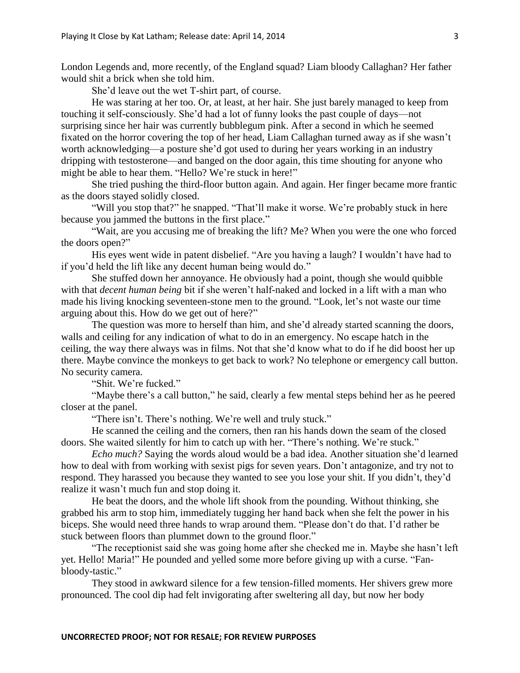London Legends and, more recently, of the England squad? Liam bloody Callaghan? Her father would shit a brick when she told him.

She'd leave out the wet T-shirt part, of course.

He was staring at her too. Or, at least, at her hair. She just barely managed to keep from touching it self-consciously. She'd had a lot of funny looks the past couple of days—not surprising since her hair was currently bubblegum pink. After a second in which he seemed fixated on the horror covering the top of her head, Liam Callaghan turned away as if she wasn't worth acknowledging—a posture she'd got used to during her years working in an industry dripping with testosterone—and banged on the door again, this time shouting for anyone who might be able to hear them. "Hello? We're stuck in here!"

She tried pushing the third-floor button again. And again. Her finger became more frantic as the doors stayed solidly closed.

"Will you stop that?" he snapped. "That'll make it worse. We're probably stuck in here because you jammed the buttons in the first place."

"Wait, are you accusing me of breaking the lift? Me? When you were the one who forced the doors open?"

His eyes went wide in patent disbelief. "Are you having a laugh? I wouldn't have had to if you'd held the lift like any decent human being would do."

She stuffed down her annoyance. He obviously had a point, though she would quibble with that *decent human being* bit if she weren't half-naked and locked in a lift with a man who made his living knocking seventeen-stone men to the ground. "Look, let's not waste our time arguing about this. How do we get out of here?"

The question was more to herself than him, and she'd already started scanning the doors, walls and ceiling for any indication of what to do in an emergency. No escape hatch in the ceiling, the way there always was in films. Not that she'd know what to do if he did boost her up there. Maybe convince the monkeys to get back to work? No telephone or emergency call button. No security camera.

"Shit. We're fucked."

"Maybe there's a call button," he said, clearly a few mental steps behind her as he peered closer at the panel.

"There isn't. There's nothing. We're well and truly stuck."

He scanned the ceiling and the corners, then ran his hands down the seam of the closed doors. She waited silently for him to catch up with her. "There's nothing. We're stuck."

*Echo much?* Saying the words aloud would be a bad idea. Another situation she'd learned how to deal with from working with sexist pigs for seven years. Don't antagonize, and try not to respond. They harassed you because they wanted to see you lose your shit. If you didn't, they'd realize it wasn't much fun and stop doing it.

He beat the doors, and the whole lift shook from the pounding. Without thinking, she grabbed his arm to stop him, immediately tugging her hand back when she felt the power in his biceps. She would need three hands to wrap around them. "Please don't do that. I'd rather be stuck between floors than plummet down to the ground floor."

"The receptionist said she was going home after she checked me in. Maybe she hasn't left yet. Hello! Maria!" He pounded and yelled some more before giving up with a curse. "Fanbloody-tastic."

They stood in awkward silence for a few tension-filled moments. Her shivers grew more pronounced. The cool dip had felt invigorating after sweltering all day, but now her body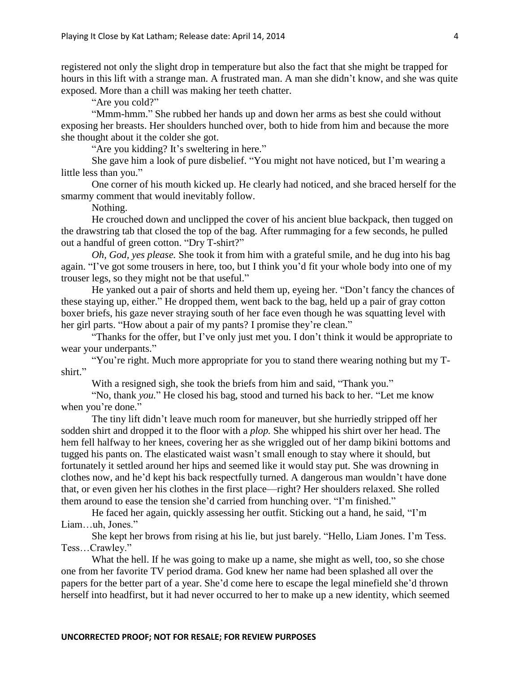registered not only the slight drop in temperature but also the fact that she might be trapped for hours in this lift with a strange man. A frustrated man. A man she didn't know, and she was quite exposed. More than a chill was making her teeth chatter.

"Are you cold?"

"Mmm-hmm." She rubbed her hands up and down her arms as best she could without exposing her breasts. Her shoulders hunched over, both to hide from him and because the more she thought about it the colder she got.

"Are you kidding? It's sweltering in here."

She gave him a look of pure disbelief. "You might not have noticed, but I'm wearing a little less than you."

One corner of his mouth kicked up. He clearly had noticed, and she braced herself for the smarmy comment that would inevitably follow.

Nothing.

He crouched down and unclipped the cover of his ancient blue backpack, then tugged on the drawstring tab that closed the top of the bag. After rummaging for a few seconds, he pulled out a handful of green cotton. "Dry T-shirt?"

*Oh, God, yes please.* She took it from him with a grateful smile, and he dug into his bag again. "I've got some trousers in here, too, but I think you'd fit your whole body into one of my trouser legs, so they might not be that useful."

He yanked out a pair of shorts and held them up, eyeing her. "Don't fancy the chances of these staying up, either." He dropped them, went back to the bag, held up a pair of gray cotton boxer briefs, his gaze never straying south of her face even though he was squatting level with her girl parts. "How about a pair of my pants? I promise they're clean."

"Thanks for the offer, but I've only just met you. I don't think it would be appropriate to wear your underpants."

"You're right. Much more appropriate for you to stand there wearing nothing but my Tshirt."

With a resigned sigh, she took the briefs from him and said, "Thank you."

"No, thank *you.*" He closed his bag, stood and turned his back to her. "Let me know when you're done."

The tiny lift didn't leave much room for maneuver, but she hurriedly stripped off her sodden shirt and dropped it to the floor with a *plop.* She whipped his shirt over her head. The hem fell halfway to her knees, covering her as she wriggled out of her damp bikini bottoms and tugged his pants on. The elasticated waist wasn't small enough to stay where it should, but fortunately it settled around her hips and seemed like it would stay put. She was drowning in clothes now, and he'd kept his back respectfully turned. A dangerous man wouldn't have done that, or even given her his clothes in the first place—right? Her shoulders relaxed. She rolled them around to ease the tension she'd carried from hunching over. "I'm finished."

He faced her again, quickly assessing her outfit. Sticking out a hand, he said, "I'm Liam…uh, Jones."

She kept her brows from rising at his lie, but just barely. "Hello, Liam Jones. I'm Tess. Tess…Crawley."

What the hell. If he was going to make up a name, she might as well, too, so she chose one from her favorite TV period drama. God knew her name had been splashed all over the papers for the better part of a year. She'd come here to escape the legal minefield she'd thrown herself into headfirst, but it had never occurred to her to make up a new identity, which seemed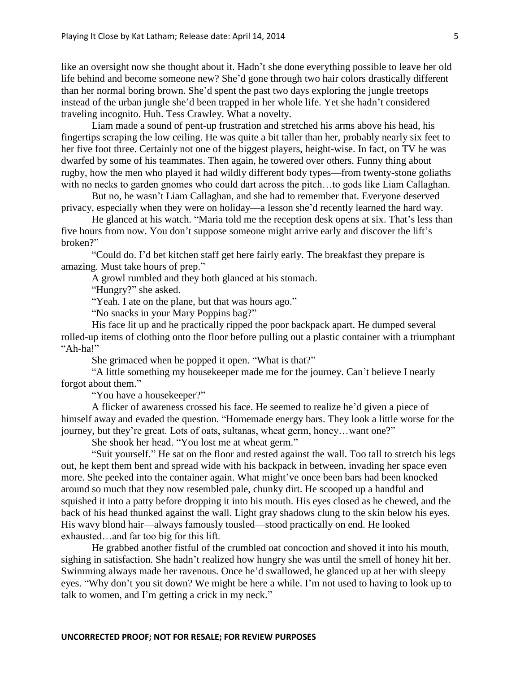like an oversight now she thought about it. Hadn't she done everything possible to leave her old life behind and become someone new? She'd gone through two hair colors drastically different than her normal boring brown. She'd spent the past two days exploring the jungle treetops instead of the urban jungle she'd been trapped in her whole life. Yet she hadn't considered traveling incognito. Huh. Tess Crawley. What a novelty.

Liam made a sound of pent-up frustration and stretched his arms above his head, his fingertips scraping the low ceiling. He was quite a bit taller than her, probably nearly six feet to her five foot three. Certainly not one of the biggest players, height-wise. In fact, on TV he was dwarfed by some of his teammates. Then again, he towered over others. Funny thing about rugby, how the men who played it had wildly different body types—from twenty-stone goliaths with no necks to garden gnomes who could dart across the pitch...to gods like Liam Callaghan.

But no, he wasn't Liam Callaghan, and she had to remember that. Everyone deserved privacy, especially when they were on holiday—a lesson she'd recently learned the hard way.

He glanced at his watch. "Maria told me the reception desk opens at six. That's less than five hours from now. You don't suppose someone might arrive early and discover the lift's broken?"

"Could do. I'd bet kitchen staff get here fairly early. The breakfast they prepare is amazing. Must take hours of prep."

A growl rumbled and they both glanced at his stomach.

"Hungry?" she asked.

"Yeah. I ate on the plane, but that was hours ago."

"No snacks in your Mary Poppins bag?"

His face lit up and he practically ripped the poor backpack apart. He dumped several rolled-up items of clothing onto the floor before pulling out a plastic container with a triumphant "Ah-ha!"

She grimaced when he popped it open. "What is that?"

"A little something my housekeeper made me for the journey. Can't believe I nearly forgot about them."

"You have a housekeeper?"

A flicker of awareness crossed his face. He seemed to realize he'd given a piece of himself away and evaded the question. "Homemade energy bars. They look a little worse for the journey, but they're great. Lots of oats, sultanas, wheat germ, honey…want one?"

She shook her head. "You lost me at wheat germ."

"Suit yourself." He sat on the floor and rested against the wall. Too tall to stretch his legs out, he kept them bent and spread wide with his backpack in between, invading her space even more. She peeked into the container again. What might've once been bars had been knocked around so much that they now resembled pale, chunky dirt. He scooped up a handful and squished it into a patty before dropping it into his mouth. His eyes closed as he chewed, and the back of his head thunked against the wall. Light gray shadows clung to the skin below his eyes. His wavy blond hair—always famously tousled—stood practically on end. He looked exhausted…and far too big for this lift.

He grabbed another fistful of the crumbled oat concoction and shoved it into his mouth, sighing in satisfaction. She hadn't realized how hungry she was until the smell of honey hit her. Swimming always made her ravenous. Once he'd swallowed, he glanced up at her with sleepy eyes. "Why don't you sit down? We might be here a while. I'm not used to having to look up to talk to women, and I'm getting a crick in my neck."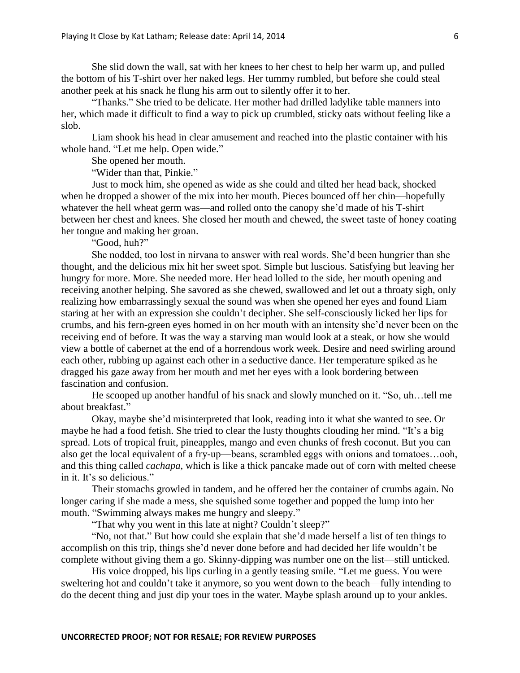She slid down the wall, sat with her knees to her chest to help her warm up, and pulled the bottom of his T-shirt over her naked legs. Her tummy rumbled, but before she could steal another peek at his snack he flung his arm out to silently offer it to her.

"Thanks." She tried to be delicate. Her mother had drilled ladylike table manners into her, which made it difficult to find a way to pick up crumbled, sticky oats without feeling like a slob.

Liam shook his head in clear amusement and reached into the plastic container with his whole hand. "Let me help. Open wide."

She opened her mouth.

"Wider than that, Pinkie."

Just to mock him, she opened as wide as she could and tilted her head back, shocked when he dropped a shower of the mix into her mouth. Pieces bounced off her chin—hopefully whatever the hell wheat germ was—and rolled onto the canopy she'd made of his T-shirt between her chest and knees. She closed her mouth and chewed, the sweet taste of honey coating her tongue and making her groan.

"Good, huh?"

She nodded, too lost in nirvana to answer with real words. She'd been hungrier than she thought, and the delicious mix hit her sweet spot. Simple but luscious. Satisfying but leaving her hungry for more. More. She needed more. Her head lolled to the side, her mouth opening and receiving another helping. She savored as she chewed, swallowed and let out a throaty sigh, only realizing how embarrassingly sexual the sound was when she opened her eyes and found Liam staring at her with an expression she couldn't decipher. She self-consciously licked her lips for crumbs, and his fern-green eyes homed in on her mouth with an intensity she'd never been on the receiving end of before. It was the way a starving man would look at a steak, or how she would view a bottle of cabernet at the end of a horrendous work week. Desire and need swirling around each other, rubbing up against each other in a seductive dance. Her temperature spiked as he dragged his gaze away from her mouth and met her eyes with a look bordering between fascination and confusion.

He scooped up another handful of his snack and slowly munched on it. "So, uh…tell me about breakfast."

Okay, maybe she'd misinterpreted that look, reading into it what she wanted to see. Or maybe he had a food fetish. She tried to clear the lusty thoughts clouding her mind. "It's a big spread. Lots of tropical fruit, pineapples, mango and even chunks of fresh coconut. But you can also get the local equivalent of a fry-up—beans, scrambled eggs with onions and tomatoes…ooh, and this thing called *cachapa,* which is like a thick pancake made out of corn with melted cheese in it. It's so delicious."

Their stomachs growled in tandem, and he offered her the container of crumbs again. No longer caring if she made a mess, she squished some together and popped the lump into her mouth. "Swimming always makes me hungry and sleepy."

"That why you went in this late at night? Couldn't sleep?"

"No, not that." But how could she explain that she'd made herself a list of ten things to accomplish on this trip, things she'd never done before and had decided her life wouldn't be complete without giving them a go. Skinny-dipping was number one on the list—still unticked.

His voice dropped, his lips curling in a gently teasing smile. "Let me guess. You were sweltering hot and couldn't take it anymore, so you went down to the beach—fully intending to do the decent thing and just dip your toes in the water. Maybe splash around up to your ankles.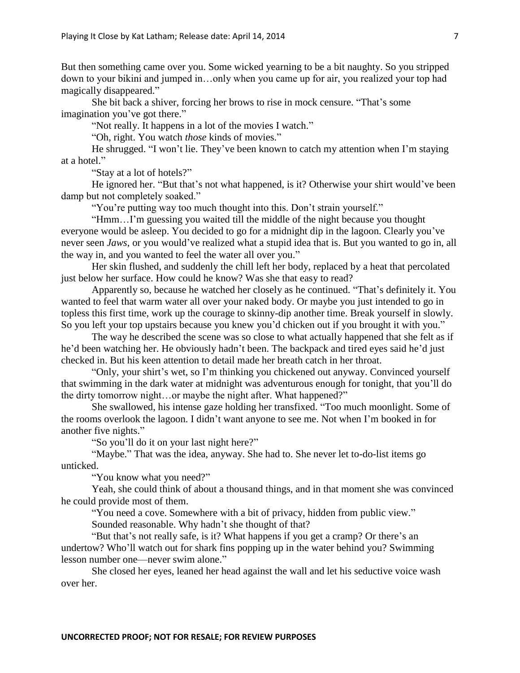But then something came over you. Some wicked yearning to be a bit naughty. So you stripped down to your bikini and jumped in…only when you came up for air, you realized your top had magically disappeared."

She bit back a shiver, forcing her brows to rise in mock censure. "That's some imagination you've got there."

"Not really. It happens in a lot of the movies I watch."

"Oh, right. You watch *those* kinds of movies."

He shrugged. "I won't lie. They've been known to catch my attention when I'm staying at a hotel."

"Stay at a lot of hotels?"

He ignored her. "But that's not what happened, is it? Otherwise your shirt would've been damp but not completely soaked."

"You're putting way too much thought into this. Don't strain yourself."

"Hmm…I'm guessing you waited till the middle of the night because you thought everyone would be asleep. You decided to go for a midnight dip in the lagoon. Clearly you've never seen *Jaws*, or you would've realized what a stupid idea that is. But you wanted to go in, all the way in, and you wanted to feel the water all over you."

Her skin flushed, and suddenly the chill left her body, replaced by a heat that percolated just below her surface. How could he know? Was she that easy to read?

Apparently so, because he watched her closely as he continued. "That's definitely it. You wanted to feel that warm water all over your naked body. Or maybe you just intended to go in topless this first time, work up the courage to skinny-dip another time. Break yourself in slowly. So you left your top upstairs because you knew you'd chicken out if you brought it with you."

The way he described the scene was so close to what actually happened that she felt as if he'd been watching her. He obviously hadn't been. The backpack and tired eyes said he'd just checked in. But his keen attention to detail made her breath catch in her throat.

"Only, your shirt's wet, so I'm thinking you chickened out anyway. Convinced yourself that swimming in the dark water at midnight was adventurous enough for tonight, that you'll do the dirty tomorrow night…or maybe the night after. What happened?"

She swallowed, his intense gaze holding her transfixed. "Too much moonlight. Some of the rooms overlook the lagoon. I didn't want anyone to see me. Not when I'm booked in for another five nights."

"So you'll do it on your last night here?"

"Maybe." That was the idea, anyway. She had to. She never let to-do-list items go unticked.

"You know what you need?"

Yeah, she could think of about a thousand things, and in that moment she was convinced he could provide most of them.

"You need a cove. Somewhere with a bit of privacy, hidden from public view."

Sounded reasonable. Why hadn't she thought of that?

"But that's not really safe, is it? What happens if you get a cramp? Or there's an undertow? Who'll watch out for shark fins popping up in the water behind you? Swimming lesson number one—never swim alone."

She closed her eyes, leaned her head against the wall and let his seductive voice wash over her.